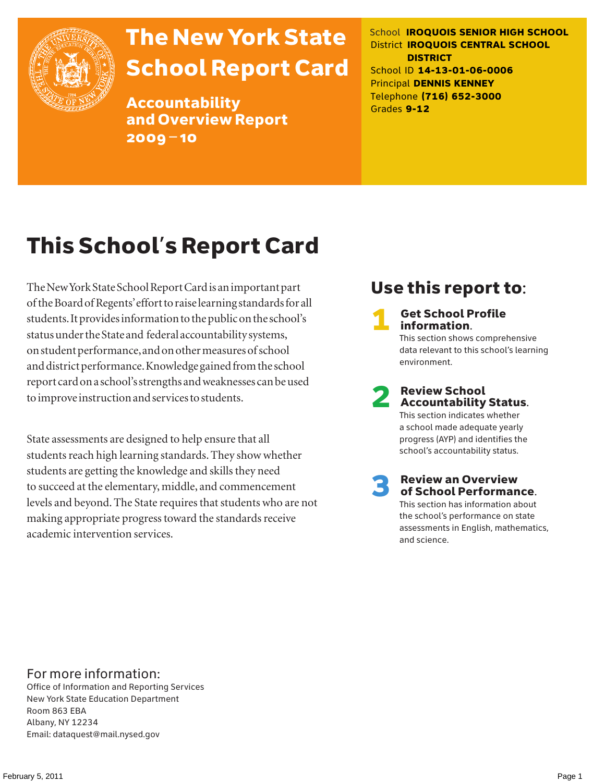

# The New York State School Report Card

Accountability and Overview Report 2009–10

School **IROQUOIS SENIOR HIGH SCHOOL** District **IROQUOIS CENTRAL SCHOOL DISTRICT** School ID **14-13-01-06-0006** Principal **DENNIS KENNEY** Telephone **(716) 652-3000** Grades **9-12**

# This School's Report Card

The New York State School Report Card is an important part of the Board of Regents' effort to raise learning standards for all students. It provides information to the public on the school's status under the State and federal accountability systems, on student performance, and on other measures of school and district performance. Knowledge gained from the school report card on a school's strengths and weaknesses can be used to improve instruction and services to students.

State assessments are designed to help ensure that all students reach high learning standards. They show whether students are getting the knowledge and skills they need to succeed at the elementary, middle, and commencement levels and beyond. The State requires that students who are not making appropriate progress toward the standards receive academic intervention services.

# Use this report to:

**Get School Profile** information. This section shows comprehensive data relevant to this school's learning environment.

# 2 Review School Accountability Status.

This section indicates whether a school made adequate yearly progress (AYP) and identifies the school's accountability status.

3 Review an Overview of School Performance. This section has information about

the school's performance on state assessments in English, mathematics, and science.

### For more information:

Office of Information and Reporting Services New York State Education Department Room 863 EBA Albany, NY 12234 Email: dataquest@mail.nysed.gov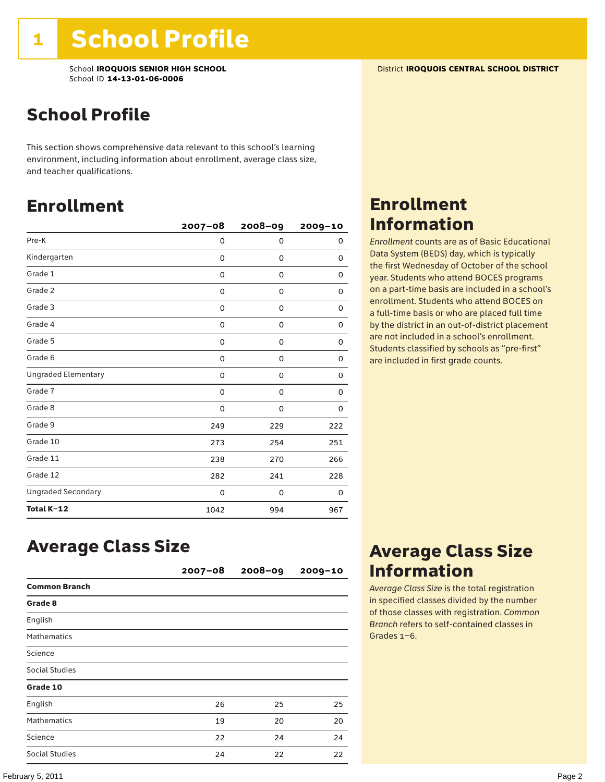# School Profile

This section shows comprehensive data relevant to this school's learning environment, including information about enrollment, average class size, and teacher qualifications.

### Enrollment

|                            | $2007 - 08$ | 2008-09     | 2009-10 |
|----------------------------|-------------|-------------|---------|
| Pre-K                      | 0           | 0           | 0       |
| Kindergarten               | 0           | 0           | 0       |
| Grade 1                    | 0           | 0           | 0       |
| Grade 2                    | 0           | 0           | 0       |
| Grade 3                    | 0           | 0           | 0       |
| Grade 4                    | 0           | 0           | 0       |
| Grade 5                    | 0           | 0           | 0       |
| Grade 6                    | 0           | 0           | 0       |
| <b>Ungraded Elementary</b> | 0           | $\mathbf 0$ | 0       |
| Grade 7                    | 0           | 0           | 0       |
| Grade 8                    | 0           | 0           | 0       |
| Grade 9                    | 249         | 229         | 222     |
| Grade 10                   | 273         | 254         | 251     |
| Grade 11                   | 238         | 270         | 266     |
| Grade 12                   | 282         | 241         | 228     |
| <b>Ungraded Secondary</b>  | 0           | 0           | 0       |
| Total K-12                 | 1042        | 994         | 967     |

# Enrollment Information

*Enrollment* counts are as of Basic Educational Data System (BEDS) day, which is typically the first Wednesday of October of the school year. Students who attend BOCES programs on a part-time basis are included in a school's enrollment. Students who attend BOCES on a full-time basis or who are placed full time by the district in an out-of-district placement are not included in a school's enrollment. Students classified by schools as "pre-first" are included in first grade counts.

### Average Class Size

|                      | $2007 - 08$ | $2008 - 09$ | $2009 - 10$ |
|----------------------|-------------|-------------|-------------|
| <b>Common Branch</b> |             |             |             |
| Grade 8              |             |             |             |
| English              |             |             |             |
| <b>Mathematics</b>   |             |             |             |
| Science              |             |             |             |
| Social Studies       |             |             |             |
| Grade 10             |             |             |             |
| English              | 26          | 25          | 25          |
| <b>Mathematics</b>   | 19          | 20          | 20          |
| Science              | 22          | 24          | 24          |
| Social Studies       | 24          | 22          | 22          |

## Average Class Size Information

*Average Class Size* is the total registration in specified classes divided by the number of those classes with registration. *Common Branch* refers to self-contained classes in Grades 1–6.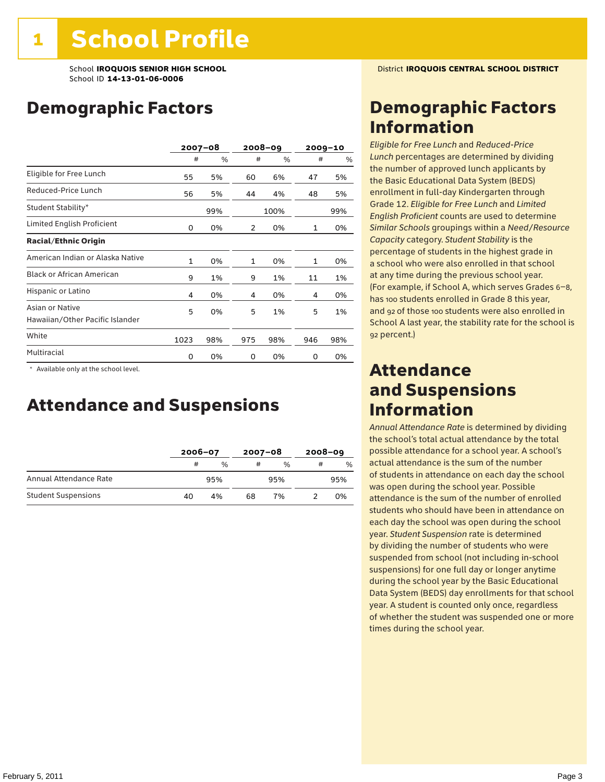School **IROQUOIS SENIOR HIGH SCHOOL** District **IROQUOIS CENTRAL SCHOOL DISTRICT** School ID **14-13-01-06-0006**

# Demographic Factors

|                                                    |              | $2007 - 08$ |              | 2008-09 |     | 2009-10 |  |
|----------------------------------------------------|--------------|-------------|--------------|---------|-----|---------|--|
|                                                    | #            | %           | #            | %       | #   | $\%$    |  |
| Eligible for Free Lunch                            | 55           | 5%          | 60           | 6%      | 47  | 5%      |  |
| Reduced-Price Lunch                                | 56           | 5%          | 44           | 4%      | 48  | 5%      |  |
| Student Stability*                                 |              | 99%         |              | 100%    |     | 99%     |  |
| Limited English Proficient                         | 0            | 0%          | 2            | 0%      | 1   | 0%      |  |
| <b>Racial/Ethnic Origin</b>                        |              |             |              |         |     |         |  |
| American Indian or Alaska Native                   | $\mathbf{1}$ | 0%          | $\mathbf{1}$ | 0%      | 1   | 0%      |  |
| <b>Black or African American</b>                   | 9            | 1%          | 9            | 1%      | 11  | 1%      |  |
| Hispanic or Latino                                 | 4            | 0%          | 4            | 0%      | 4   | 0%      |  |
| Asian or Native<br>Hawaiian/Other Pacific Islander | 5            | 0%          | 5            | 1%      | 5   | 1%      |  |
| White                                              | 1023         | 98%         | 975          | 98%     | 946 | 98%     |  |
| Multiracial                                        | 0            | 0%          | 0            | 0%      | 0   | 0%      |  |

 \* Available only at the school level.

### Attendance and Suspensions

|                            |    | $2006 - 07$   |    | $2007 - 08$ |   | $2008 - 09$   |  |
|----------------------------|----|---------------|----|-------------|---|---------------|--|
|                            | #  | $\frac{0}{0}$ | #  | %           | # | $\frac{0}{6}$ |  |
| Annual Attendance Rate     |    | 95%           |    | 95%         |   | 95%           |  |
| <b>Student Suspensions</b> | 40 | 4%            | 68 | 7%          |   | 0%            |  |

### Demographic Factors Information

*Eligible for Free Lunch* and *Reduced*-*Price Lunch* percentages are determined by dividing the number of approved lunch applicants by the Basic Educational Data System (BEDS) enrollment in full-day Kindergarten through Grade 12. *Eligible for Free Lunch* and *Limited English Proficient* counts are used to determine *Similar Schools* groupings within a *Need*/*Resource Capacity* category. *Student Stability* is the percentage of students in the highest grade in a school who were also enrolled in that school at any time during the previous school year. (For example, if School A, which serves Grades 6–8, has 100 students enrolled in Grade 8 this year, and 92 of those 100 students were also enrolled in School A last year, the stability rate for the school is 92 percent.)

### Attendance and Suspensions Information

*Annual Attendance Rate* is determined by dividing the school's total actual attendance by the total possible attendance for a school year. A school's actual attendance is the sum of the number of students in attendance on each day the school was open during the school year. Possible attendance is the sum of the number of enrolled students who should have been in attendance on each day the school was open during the school year. *Student Suspension* rate is determined by dividing the number of students who were suspended from school (not including in-school suspensions) for one full day or longer anytime during the school year by the Basic Educational Data System (BEDS) day enrollments for that school year. A student is counted only once, regardless of whether the student was suspended one or more times during the school year.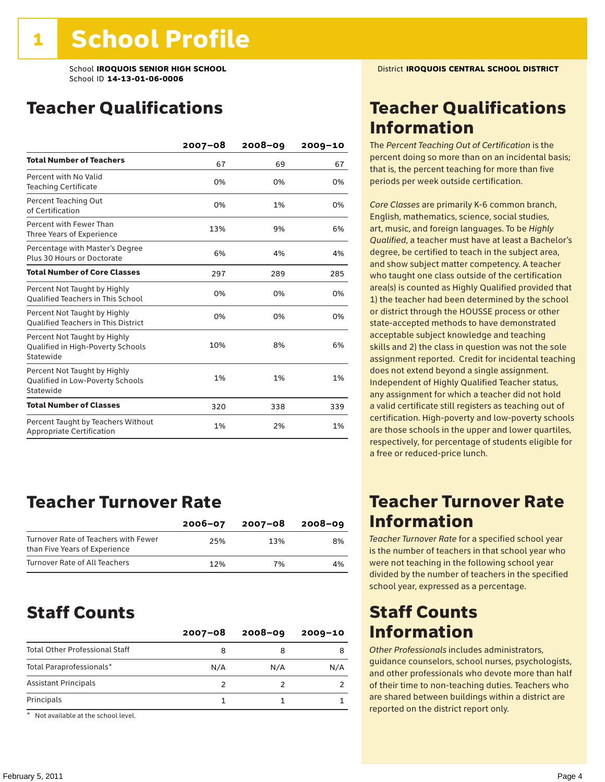# Teacher Qualifications

|                                                                                | $2007 - 08$ | $2008 - 09$ | $2009 - 10$ |
|--------------------------------------------------------------------------------|-------------|-------------|-------------|
| <b>Total Number of Teachers</b>                                                | 67          | 69          | 67          |
| Percent with No Valid<br><b>Teaching Certificate</b>                           | 0%          | 0%          | 0%          |
| Percent Teaching Out<br>of Certification                                       | 0%          | 1%          | 0%          |
| Percent with Fewer Than<br>Three Years of Experience                           | 13%         | 9%          | 6%          |
| Percentage with Master's Degree<br>Plus 30 Hours or Doctorate                  | 6%          | 4%          | 4%          |
| <b>Total Number of Core Classes</b>                                            | 297         | 289         | 285         |
| Percent Not Taught by Highly<br><b>Qualified Teachers in This School</b>       | 0%          | 0%          | 0%          |
| Percent Not Taught by Highly<br><b>Oualified Teachers in This District</b>     | 0%          | 0%          | 0%          |
| Percent Not Taught by Highly<br>Qualified in High-Poverty Schools<br>Statewide | 10%         | 8%          | 6%          |
| Percent Not Taught by Highly<br>Qualified in Low-Poverty Schools<br>Statewide  | 1%          | 1%          | 1%          |
| <b>Total Number of Classes</b>                                                 | 320         | 338         | 339         |
| Percent Taught by Teachers Without<br>Appropriate Certification                | 1%          | 2%          | 1%          |

### Teacher Turnover Rate

|                                                                       | $2006 - 07$ | 2007-08 | 2008-09 |
|-----------------------------------------------------------------------|-------------|---------|---------|
| Turnover Rate of Teachers with Fewer<br>than Five Years of Experience | 25%         | 13%     | 8%      |
| Turnover Rate of All Teachers                                         | 12%         | 7%      | 4%      |

### Staff Counts

|                                       | $2007 - 08$ | $2008 - 09$ | $2009 - 10$ |
|---------------------------------------|-------------|-------------|-------------|
| <b>Total Other Professional Staff</b> | 8           |             |             |
| Total Paraprofessionals*              | N/A         | N/A         | N/A         |
| <b>Assistant Principals</b>           |             |             |             |
| Principals                            |             |             |             |

\* Not available at the school level.

# Teacher Qualifications Information

The *Percent Teaching Out of Certification* is the percent doing so more than on an incidental basis; that is, the percent teaching for more than five periods per week outside certification.

*Core Classes* are primarily K-6 common branch, English, mathematics, science, social studies, art, music, and foreign languages. To be *Highly Qualified*, a teacher must have at least a Bachelor's degree, be certified to teach in the subject area, and show subject matter competency. A teacher who taught one class outside of the certification area(s) is counted as Highly Qualified provided that 1) the teacher had been determined by the school or district through the HOUSSE process or other state-accepted methods to have demonstrated acceptable subject knowledge and teaching skills and 2) the class in question was not the sole assignment reported. Credit for incidental teaching does not extend beyond a single assignment. Independent of Highly Qualified Teacher status, any assignment for which a teacher did not hold a valid certificate still registers as teaching out of certification. High-poverty and low-poverty schools are those schools in the upper and lower quartiles, respectively, for percentage of students eligible for a free or reduced-price lunch.

### Teacher Turnover Rate Information

*Teacher Turnover Rate* for a specified school year is the number of teachers in that school year who were not teaching in the following school year divided by the number of teachers in the specified school year, expressed as a percentage.

### Staff Counts Information

*Other Professionals* includes administrators, guidance counselors, school nurses, psychologists, and other professionals who devote more than half of their time to non-teaching duties. Teachers who are shared between buildings within a district are reported on the district report only.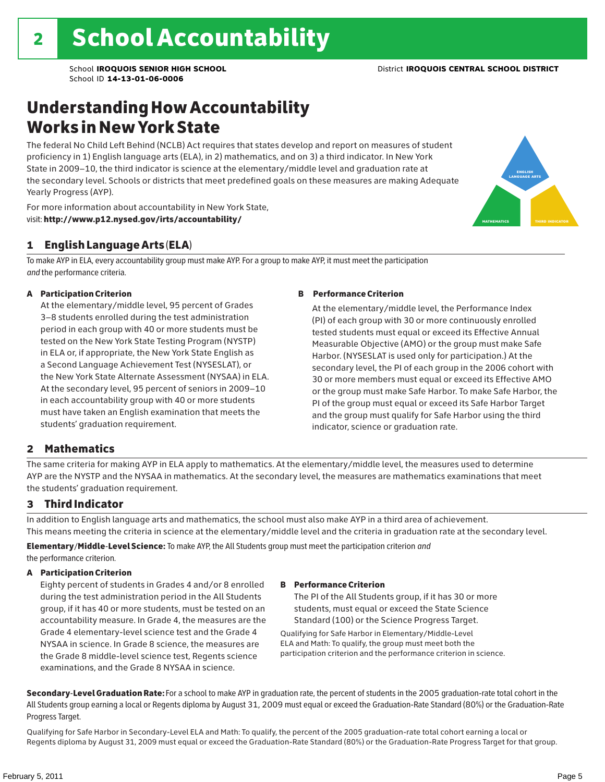# Understanding How Accountability Works in New York State

The federal No Child Left Behind (NCLB) Act requires that states develop and report on measures of student proficiency in 1) English language arts (ELA), in 2) mathematics, and on 3) a third indicator. In New York State in 2009–10, the third indicator is science at the elementary/middle level and graduation rate at the secondary level. Schools or districts that meet predefined goals on these measures are making Adequate Yearly Progress (AYP).

For more information about accountability in New York State, visit: http://www.p12.nysed.gov/irts/accountability/

#### 1 English Language Arts (ELA)

To make AYP in ELA, every accountability group must make AYP. For a group to make AYP, it must meet the participation *and* the performance criteria.

#### A Participation Criterion

At the elementary/middle level, 95 percent of Grades 3–8 students enrolled during the test administration period in each group with 40 or more students must be tested on the New York State Testing Program (NYSTP) in ELA or, if appropriate, the New York State English as a Second Language Achievement Test (NYSESLAT), or the New York State Alternate Assessment (NYSAA) in ELA. At the secondary level, 95 percent of seniors in 2009–10 in each accountability group with 40 or more students must have taken an English examination that meets the students' graduation requirement.

#### B Performance Criterion

At the elementary/middle level, the Performance Index (PI) of each group with 30 or more continuously enrolled tested students must equal or exceed its Effective Annual Measurable Objective (AMO) or the group must make Safe Harbor. (NYSESLAT is used only for participation.) At the secondary level, the PI of each group in the 2006 cohort with 30 or more members must equal or exceed its Effective AMO or the group must make Safe Harbor. To make Safe Harbor, the PI of the group must equal or exceed its Safe Harbor Target and the group must qualify for Safe Harbor using the third indicator, science or graduation rate.

#### 2 Mathematics

The same criteria for making AYP in ELA apply to mathematics. At the elementary/middle level, the measures used to determine AYP are the NYSTP and the NYSAA in mathematics. At the secondary level, the measures are mathematics examinations that meet the students' graduation requirement.

#### 3 Third Indicator

In addition to English language arts and mathematics, the school must also make AYP in a third area of achievement. This means meeting the criteria in science at the elementary/middle level and the criteria in graduation rate at the secondary level.

Elementary/Middle-Level Science: To make AYP, the All Students group must meet the participation criterion *and* the performance criterion.

#### A Participation Criterion

Eighty percent of students in Grades 4 and/or 8 enrolled during the test administration period in the All Students group, if it has 40 or more students, must be tested on an accountability measure. In Grade 4, the measures are the Grade 4 elementary-level science test and the Grade 4 NYSAA in science. In Grade 8 science, the measures are the Grade 8 middle-level science test, Regents science examinations, and the Grade 8 NYSAA in science.

#### B Performance Criterion

The PI of the All Students group, if it has 30 or more students, must equal or exceed the State Science Standard (100) or the Science Progress Target.

Qualifying for Safe Harbor in Elementary/Middle-Level ELA and Math: To qualify, the group must meet both the participation criterion and the performance criterion in science.

Secondary-Level Graduation Rate: For a school to make AYP in graduation rate, the percent of students in the 2005 graduation-rate total cohort in the All Students group earning a local or Regents diploma by August 31, 2009 must equal or exceed the Graduation-Rate Standard (80%) or the Graduation-Rate Progress Target.

Qualifying for Safe Harbor in Secondary-Level ELA and Math: To qualify, the percent of the 2005 graduation-rate total cohort earning a local or Regents diploma by August 31, 2009 must equal or exceed the Graduation-Rate Standard (80%) or the Graduation-Rate Progress Target for that group.

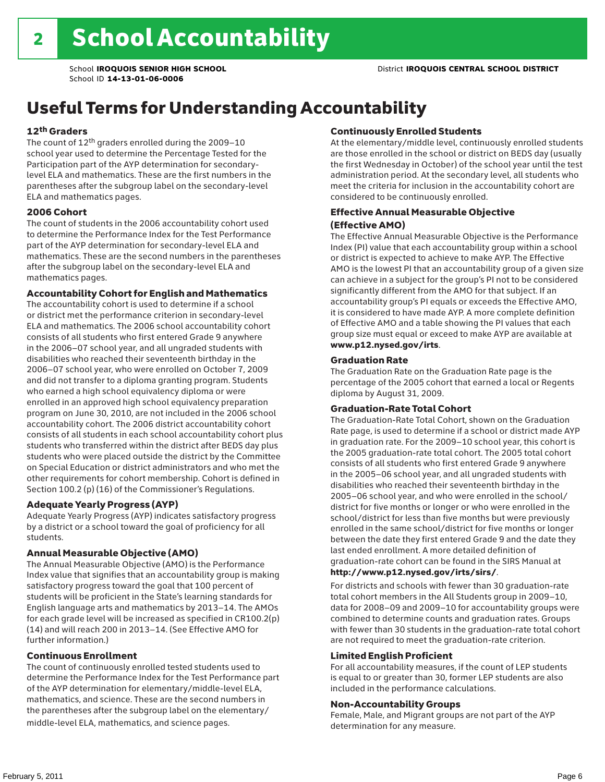# Useful Terms for Understanding Accountability

#### 12th Graders

The count of 12th graders enrolled during the 2009–10 school year used to determine the Percentage Tested for the Participation part of the AYP determination for secondarylevel ELA and mathematics. These are the first numbers in the parentheses after the subgroup label on the secondary-level ELA and mathematics pages.

#### 2006 Cohort

The count of students in the 2006 accountability cohort used to determine the Performance Index for the Test Performance part of the AYP determination for secondary-level ELA and mathematics. These are the second numbers in the parentheses after the subgroup label on the secondary-level ELA and mathematics pages.

#### Accountability Cohort for English and Mathematics

The accountability cohort is used to determine if a school or district met the performance criterion in secondary-level ELA and mathematics. The 2006 school accountability cohort consists of all students who first entered Grade 9 anywhere in the 2006–07 school year, and all ungraded students with disabilities who reached their seventeenth birthday in the 2006–07 school year, who were enrolled on October 7, 2009 and did not transfer to a diploma granting program. Students who earned a high school equivalency diploma or were enrolled in an approved high school equivalency preparation program on June 30, 2010, are not included in the 2006 school accountability cohort. The 2006 district accountability cohort consists of all students in each school accountability cohort plus students who transferred within the district after BEDS day plus students who were placed outside the district by the Committee on Special Education or district administrators and who met the other requirements for cohort membership. Cohort is defined in Section 100.2 (p) (16) of the Commissioner's Regulations.

#### Adequate Yearly Progress (AYP)

Adequate Yearly Progress (AYP) indicates satisfactory progress by a district or a school toward the goal of proficiency for all students.

#### Annual Measurable Objective (AMO)

The Annual Measurable Objective (AMO) is the Performance Index value that signifies that an accountability group is making satisfactory progress toward the goal that 100 percent of students will be proficient in the State's learning standards for English language arts and mathematics by 2013–14. The AMOs for each grade level will be increased as specified in CR100.2(p) (14) and will reach 200 in 2013–14. (See Effective AMO for further information.)

#### Continuous Enrollment

The count of continuously enrolled tested students used to determine the Performance Index for the Test Performance part of the AYP determination for elementary/middle-level ELA, mathematics, and science. These are the second numbers in the parentheses after the subgroup label on the elementary/ middle-level ELA, mathematics, and science pages.

#### Continuously Enrolled Students

At the elementary/middle level, continuously enrolled students are those enrolled in the school or district on BEDS day (usually the first Wednesday in October) of the school year until the test administration period. At the secondary level, all students who meet the criteria for inclusion in the accountability cohort are considered to be continuously enrolled.

#### Effective Annual Measurable Objective (Effective AMO)

The Effective Annual Measurable Objective is the Performance Index (PI) value that each accountability group within a school or district is expected to achieve to make AYP. The Effective AMO is the lowest PI that an accountability group of a given size can achieve in a subject for the group's PI not to be considered significantly different from the AMO for that subject. If an accountability group's PI equals or exceeds the Effective AMO, it is considered to have made AYP. A more complete definition of Effective AMO and a table showing the PI values that each group size must equal or exceed to make AYP are available at www.p12.nysed.gov/irts.

#### Graduation Rate

The Graduation Rate on the Graduation Rate page is the percentage of the 2005 cohort that earned a local or Regents diploma by August 31, 2009.

#### Graduation-Rate Total Cohort

The Graduation-Rate Total Cohort, shown on the Graduation Rate page, is used to determine if a school or district made AYP in graduation rate. For the 2009–10 school year, this cohort is the 2005 graduation-rate total cohort. The 2005 total cohort consists of all students who first entered Grade 9 anywhere in the 2005–06 school year, and all ungraded students with disabilities who reached their seventeenth birthday in the 2005–06 school year, and who were enrolled in the school/ district for five months or longer or who were enrolled in the school/district for less than five months but were previously enrolled in the same school/district for five months or longer between the date they first entered Grade 9 and the date they last ended enrollment. A more detailed definition of graduation-rate cohort can be found in the SIRS Manual at

#### http://www.p12.nysed.gov/irts/sirs/.

For districts and schools with fewer than 30 graduation-rate total cohort members in the All Students group in 2009–10, data for 2008–09 and 2009–10 for accountability groups were combined to determine counts and graduation rates. Groups with fewer than 30 students in the graduation-rate total cohort are not required to meet the graduation-rate criterion.

#### Limited English Proficient

For all accountability measures, if the count of LEP students is equal to or greater than 30, former LEP students are also included in the performance calculations.

#### Non-Accountability Groups

Female, Male, and Migrant groups are not part of the AYP determination for any measure.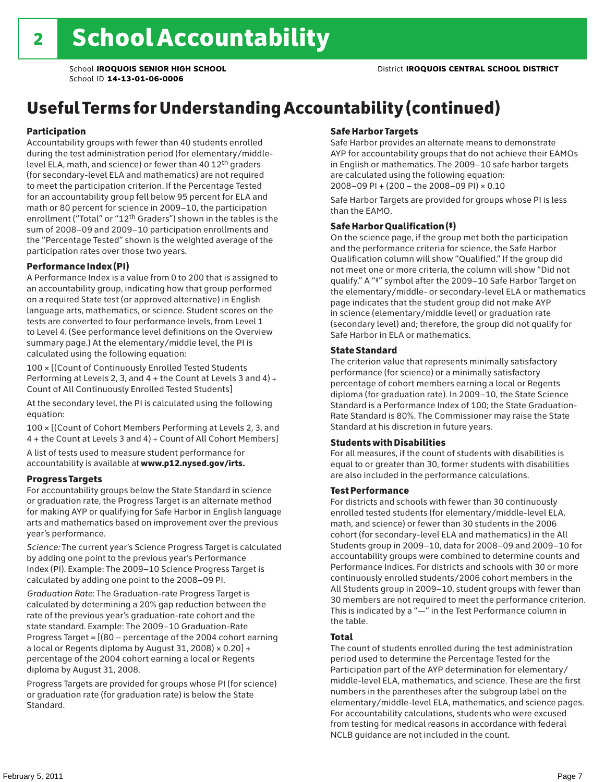# Useful Terms for Understanding Accountability (continued)

#### Participation

Accountability groups with fewer than 40 students enrolled during the test administration period (for elementary/middlelevel ELA, math, and science) or fewer than 40 12th graders (for secondary-level ELA and mathematics) are not required to meet the participation criterion. If the Percentage Tested for an accountability group fell below 95 percent for ELA and math or 80 percent for science in 2009–10, the participation enrollment ("Total" or "12th Graders") shown in the tables is the sum of 2008–09 and 2009–10 participation enrollments and the "Percentage Tested" shown is the weighted average of the participation rates over those two years.

#### Performance Index (PI)

A Performance Index is a value from 0 to 200 that is assigned to an accountability group, indicating how that group performed on a required State test (or approved alternative) in English language arts, mathematics, or science. Student scores on the tests are converted to four performance levels, from Level 1 to Level 4. (See performance level definitions on the Overview summary page.) At the elementary/middle level, the PI is calculated using the following equation:

100 × [(Count of Continuously Enrolled Tested Students Performing at Levels 2, 3, and  $4 +$  the Count at Levels 3 and  $4) \div$ Count of All Continuously Enrolled Tested Students]

At the secondary level, the PI is calculated using the following equation:

100 × [(Count of Cohort Members Performing at Levels 2, 3, and 4 + the Count at Levels 3 and 4) ÷ Count of All Cohort Members]

A list of tests used to measure student performance for accountability is available at www.p12.nysed.gov/irts.

#### Progress Targets

For accountability groups below the State Standard in science or graduation rate, the Progress Target is an alternate method for making AYP or qualifying for Safe Harbor in English language arts and mathematics based on improvement over the previous year's performance.

*Science:* The current year's Science Progress Target is calculated by adding one point to the previous year's Performance Index (PI). Example: The 2009–10 Science Progress Target is calculated by adding one point to the 2008–09 PI.

*Graduation Rate*: The Graduation-rate Progress Target is calculated by determining a 20% gap reduction between the rate of the previous year's graduation-rate cohort and the state standard. Example: The 2009–10 Graduation-Rate Progress Target = [(80 – percentage of the 2004 cohort earning a local or Regents diploma by August 31, 2008)  $\times$  0.20] + percentage of the 2004 cohort earning a local or Regents diploma by August 31, 2008.

Progress Targets are provided for groups whose PI (for science) or graduation rate (for graduation rate) is below the State Standard.

#### Safe Harbor Targets

Safe Harbor provides an alternate means to demonstrate AYP for accountability groups that do not achieve their EAMOs in English or mathematics. The 2009–10 safe harbor targets are calculated using the following equation: 2008–09 PI + (200 – the 2008–09 PI) × 0.10

Safe Harbor Targets are provided for groups whose PI is less than the EAMO.

#### Safe Harbor Qualification (‡)

On the science page, if the group met both the participation and the performance criteria for science, the Safe Harbor Qualification column will show "Qualified." If the group did not meet one or more criteria, the column will show "Did not qualify." A "‡" symbol after the 2009–10 Safe Harbor Target on the elementary/middle- or secondary-level ELA or mathematics page indicates that the student group did not make AYP in science (elementary/middle level) or graduation rate (secondary level) and; therefore, the group did not qualify for Safe Harbor in ELA or mathematics.

#### State Standard

The criterion value that represents minimally satisfactory performance (for science) or a minimally satisfactory percentage of cohort members earning a local or Regents diploma (for graduation rate). In 2009–10, the State Science Standard is a Performance Index of 100; the State Graduation-Rate Standard is 80%. The Commissioner may raise the State Standard at his discretion in future years.

#### Students with Disabilities

For all measures, if the count of students with disabilities is equal to or greater than 30, former students with disabilities are also included in the performance calculations.

#### Test Performance

For districts and schools with fewer than 30 continuously enrolled tested students (for elementary/middle-level ELA, math, and science) or fewer than 30 students in the 2006 cohort (for secondary-level ELA and mathematics) in the All Students group in 2009–10, data for 2008–09 and 2009–10 for accountability groups were combined to determine counts and Performance Indices. For districts and schools with 30 or more continuously enrolled students/2006 cohort members in the All Students group in 2009–10, student groups with fewer than 30 members are not required to meet the performance criterion. This is indicated by a "—" in the Test Performance column in the table.

#### Total

The count of students enrolled during the test administration period used to determine the Percentage Tested for the Participation part of the AYP determination for elementary/ middle-level ELA, mathematics, and science. These are the first numbers in the parentheses after the subgroup label on the elementary/middle-level ELA, mathematics, and science pages. For accountability calculations, students who were excused from testing for medical reasons in accordance with federal NCLB guidance are not included in the count.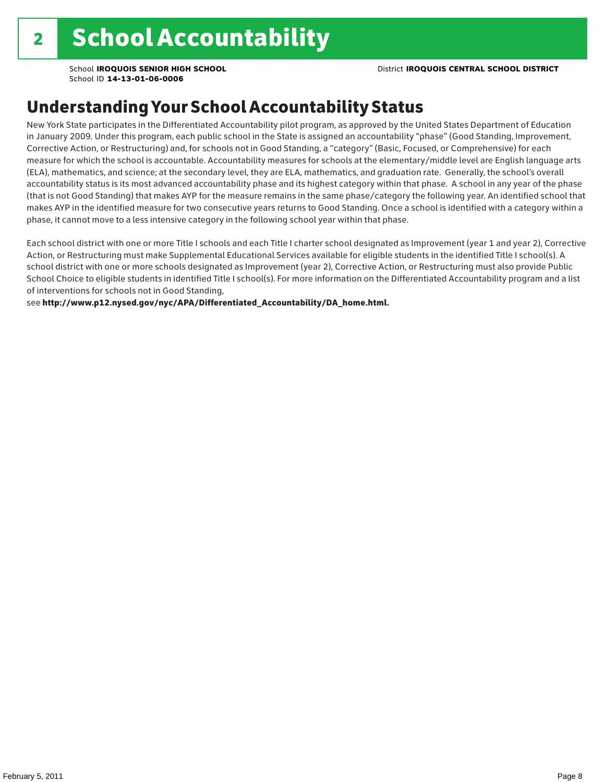School **IROQUOIS SENIOR HIGH SCHOOL** District **IROQUOIS CENTRAL SCHOOL DISTRICT**

School ID **14-13-01-06-0006**

# Understanding Your School Accountability Status

New York State participates in the Differentiated Accountability pilot program, as approved by the United States Department of Education in January 2009. Under this program, each public school in the State is assigned an accountability "phase" (Good Standing, Improvement, Corrective Action, or Restructuring) and, for schools not in Good Standing, a "category" (Basic, Focused, or Comprehensive) for each measure for which the school is accountable. Accountability measures for schools at the elementary/middle level are English language arts (ELA), mathematics, and science; at the secondary level, they are ELA, mathematics, and graduation rate. Generally, the school's overall accountability status is its most advanced accountability phase and its highest category within that phase. A school in any year of the phase (that is not Good Standing) that makes AYP for the measure remains in the same phase/category the following year. An identified school that makes AYP in the identified measure for two consecutive years returns to Good Standing. Once a school is identified with a category within a phase, it cannot move to a less intensive category in the following school year within that phase.

Each school district with one or more Title I schools and each Title I charter school designated as Improvement (year 1 and year 2), Corrective Action, or Restructuring must make Supplemental Educational Services available for eligible students in the identified Title I school(s). A school district with one or more schools designated as Improvement (year 2), Corrective Action, or Restructuring must also provide Public School Choice to eligible students in identified Title I school(s). For more information on the Differentiated Accountability program and a list of interventions for schools not in Good Standing,

see http://www.p12.nysed.gov/nyc/APA/Differentiated\_Accountability/DA\_home.html.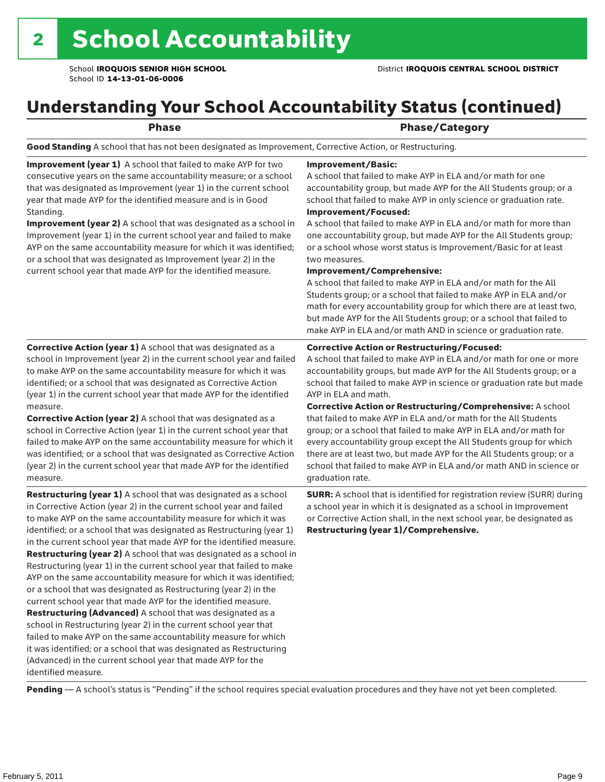# Understanding Your School Accountability Status (continued)

|  | . .<br>., | ۰. | ٠ |
|--|-----------|----|---|
|  |           |    |   |

#### Phase/Category

Good Standing A school that has not been designated as Improvement, Corrective Action, or Restructuring.

Improvement (year 1) A school that failed to make AYP for two consecutive years on the same accountability measure; or a school that was designated as Improvement (year 1) in the current school year that made AYP for the identified measure and is in Good Standing.

Improvement (year 2) A school that was designated as a school in Improvement (year 1) in the current school year and failed to make AYP on the same accountability measure for which it was identified; or a school that was designated as Improvement (year 2) in the current school year that made AYP for the identified measure.

#### Improvement/Basic:

A school that failed to make AYP in ELA and/or math for one accountability group, but made AYP for the All Students group; or a school that failed to make AYP in only science or graduation rate. Improvement/Focused:

A school that failed to make AYP in ELA and/or math for more than one accountability group, but made AYP for the All Students group; or a school whose worst status is Improvement/Basic for at least two measures.

#### Improvement/Comprehensive:

A school that failed to make AYP in ELA and/or math for the All Students group; or a school that failed to make AYP in ELA and/or math for every accountability group for which there are at least two, but made AYP for the All Students group; or a school that failed to make AYP in ELA and/or math AND in science or graduation rate.

#### Corrective Action or Restructuring/Focused:

A school that failed to make AYP in ELA and/or math for one or more accountability groups, but made AYP for the All Students group; or a school that failed to make AYP in science or graduation rate but made AYP in ELA and math.

(year 1) in the current school year that made AYP for the identified measure. Corrective Action (year 2) A school that was designated as a school in Corrective Action (year 1) in the current school year that failed to make AYP on the same accountability measure for which it was identified; or a school that was designated as Corrective Action (year 2) in the current school year that made AYP for the identified

Corrective Action (year 1) A school that was designated as a school in Improvement (year 2) in the current school year and failed to make AYP on the same accountability measure for which it was identified; or a school that was designated as Corrective Action

measure. Restructuring (year 1) A school that was designated as a school

in Corrective Action (year 2) in the current school year and failed to make AYP on the same accountability measure for which it was identified; or a school that was designated as Restructuring (year 1) in the current school year that made AYP for the identified measure. Restructuring (year 2) A school that was designated as a school in Restructuring (year 1) in the current school year that failed to make AYP on the same accountability measure for which it was identified; or a school that was designated as Restructuring (year 2) in the current school year that made AYP for the identified measure. Restructuring (Advanced) A school that was designated as a school in Restructuring (year 2) in the current school year that failed to make AYP on the same accountability measure for which it was identified; or a school that was designated as Restructuring (Advanced) in the current school year that made AYP for the identified measure.

Corrective Action or Restructuring/Comprehensive: A school that failed to make AYP in ELA and/or math for the All Students group; or a school that failed to make AYP in ELA and/or math for every accountability group except the All Students group for which there are at least two, but made AYP for the All Students group; or a school that failed to make AYP in ELA and/or math AND in science or graduation rate.

SURR: A school that is identified for registration review (SURR) during a school year in which it is designated as a school in Improvement or Corrective Action shall, in the next school year, be designated as Restructuring (year 1)/Comprehensive.

Pending - A school's status is "Pending" if the school requires special evaluation procedures and they have not yet been completed.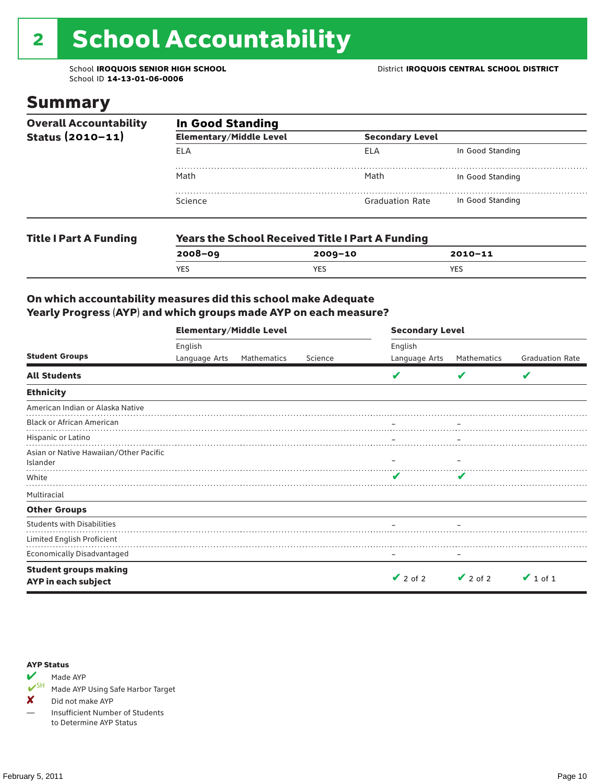# 2 School Accountability

School ID **14-13-01-06-0006**

### Summary

| <b>Overall Accountability</b> | <b>In Good Standing</b>        |                                                         |                  |  |  |  |  |
|-------------------------------|--------------------------------|---------------------------------------------------------|------------------|--|--|--|--|
| Status (2010-11)              | <b>Elementary/Middle Level</b> | <b>Secondary Level</b>                                  |                  |  |  |  |  |
|                               | ELA                            | ELA                                                     | In Good Standing |  |  |  |  |
|                               | Math                           | Math                                                    | In Good Standing |  |  |  |  |
|                               | Science                        | <b>Graduation Rate</b>                                  | In Good Standing |  |  |  |  |
| <b>Title I Part A Funding</b> |                                | <b>Years the School Received Title I Part A Funding</b> |                  |  |  |  |  |
|                               | $2008 - 09$                    | $2009 - 10$                                             | $2010 - 11$      |  |  |  |  |
|                               | <b>YES</b>                     | <b>YES</b>                                              | <b>YES</b>       |  |  |  |  |

#### On which accountability measures did this school make Adequate Yearly Progress (AYP) and which groups made AYP on each measure?

|                                                     | <b>Elementary/Middle Level</b> |             |         | <b>Secondary Level</b> |               |                        |  |
|-----------------------------------------------------|--------------------------------|-------------|---------|------------------------|---------------|------------------------|--|
|                                                     | English                        |             |         | English                |               |                        |  |
| <b>Student Groups</b>                               | Language Arts                  | Mathematics | Science | Language Arts          | Mathematics   | <b>Graduation Rate</b> |  |
| <b>All Students</b>                                 |                                |             |         |                        | V             | V                      |  |
| <b>Ethnicity</b>                                    |                                |             |         |                        |               |                        |  |
| American Indian or Alaska Native                    |                                |             |         |                        |               |                        |  |
| <b>Black or African American</b>                    |                                |             |         |                        |               |                        |  |
| Hispanic or Latino                                  |                                |             |         |                        |               |                        |  |
| Asian or Native Hawaiian/Other Pacific<br>Islander  |                                |             |         |                        |               |                        |  |
| White                                               |                                |             |         | ✔                      |               |                        |  |
| Multiracial                                         |                                |             |         |                        |               |                        |  |
| <b>Other Groups</b>                                 |                                |             |         |                        |               |                        |  |
| <b>Students with Disabilities</b>                   |                                |             |         |                        |               |                        |  |
| Limited English Proficient                          |                                |             |         |                        |               |                        |  |
| <b>Economically Disadvantaged</b>                   |                                |             |         |                        |               |                        |  |
| <b>Student groups making</b><br>AYP in each subject |                                |             |         | $\vee$ 2 of 2          | $\vee$ 2 of 2 | $\vee$ 1 of 1          |  |

#### AYP Status



Made AYP Using Safe Harbor Target

✘ Did not make AYP

— Insufficient Number of Students to Determine AYP Status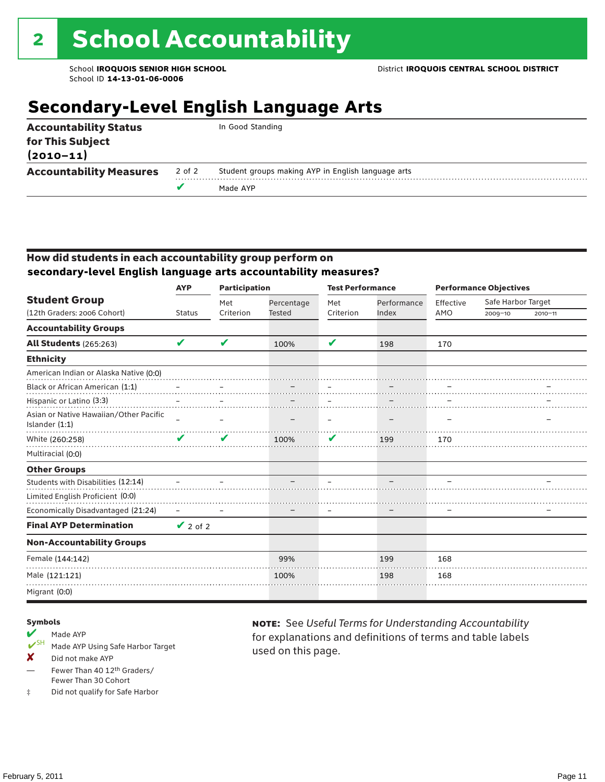# **Secondary-Level English Language Arts**

| <b>Accountability Status</b><br>for This Subject<br>$(2010 - 11)$ |        | In Good Standing                                   |
|-------------------------------------------------------------------|--------|----------------------------------------------------|
| <b>Accountability Measures</b>                                    | 2 of 2 | Student groups making AYP in English language arts |
|                                                                   |        | Made AYP                                           |
|                                                                   |        |                                                    |

#### How did students in each accountability group perform on **secondary-level English language arts accountability measures?**

|                                                            | <b>AYP</b>    | <b>Participation</b> |               | <b>Test Performance</b> |             | <b>Performance Objectives</b> |                    |             |
|------------------------------------------------------------|---------------|----------------------|---------------|-------------------------|-------------|-------------------------------|--------------------|-------------|
| <b>Student Group</b><br>(12th Graders: 2006 Cohort)        |               | Met                  | Percentage    | Met                     | Performance | Effective                     | Safe Harbor Target |             |
|                                                            | <b>Status</b> | Criterion            | <b>Tested</b> | Criterion               | Index       | AMO                           | $2009 - 10$        | $2010 - 11$ |
| <b>Accountability Groups</b>                               |               |                      |               |                         |             |                               |                    |             |
| <b>All Students (265:263)</b>                              | V             | V                    | 100%          | V                       | 198         | 170                           |                    |             |
| <b>Ethnicity</b>                                           |               |                      |               |                         |             |                               |                    |             |
| American Indian or Alaska Native (0:0)                     |               |                      |               |                         |             |                               |                    |             |
| Black or African American (1:1)                            |               |                      |               |                         |             |                               |                    |             |
| Hispanic or Latino (3:3)                                   |               |                      |               |                         |             |                               |                    |             |
| Asian or Native Hawaiian/Other Pacific<br>Islander $(1:1)$ |               |                      |               |                         |             |                               |                    |             |
| White (260:258)                                            |               | $\mathbf{v}$         | 100%          | V                       | 199         | 170                           |                    |             |
| Multiracial (0:0)                                          |               |                      |               |                         |             |                               |                    |             |
| <b>Other Groups</b>                                        |               |                      |               |                         |             |                               |                    |             |
| Students with Disabilities (12:14)                         |               |                      |               |                         |             |                               |                    |             |
| Limited English Proficient (0:0)                           |               |                      |               |                         |             |                               |                    |             |
| Economically Disadvantaged (21:24)                         |               |                      |               |                         |             |                               |                    |             |
| <b>Final AYP Determination</b>                             | $\vee$ 2 of 2 |                      |               |                         |             |                               |                    |             |
| <b>Non-Accountability Groups</b>                           |               |                      |               |                         |             |                               |                    |             |
| Female (144:142)                                           |               |                      | 99%           |                         | 199         | 168                           |                    |             |
| Male (121:121)                                             |               |                      | 100%          |                         | 198         | 168                           |                    |             |
| Migrant (0:0)                                              |               |                      |               |                         |             |                               |                    |             |

#### Symbols

# Made AYP<br>
<del>V</del><sup>SH</sup> Made AVP

- Made AYP Using Safe Harbor Target
- X Did not make AYP
- Fewer Than 40 12th Graders/ Fewer Than 30 Cohort
- ‡ Did not qualify for Safe Harbor

note: See *Useful Terms for Understanding Accountability*  for explanations and definitions of terms and table labels used on this page.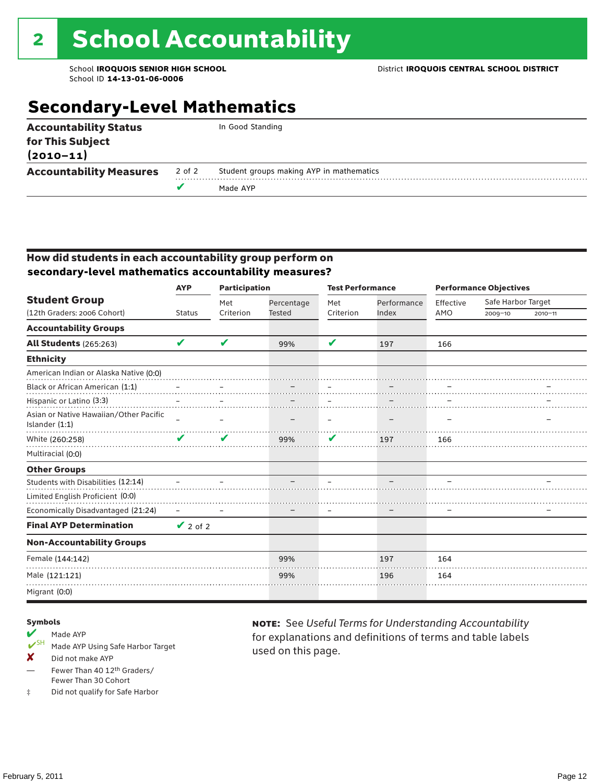# **Secondary-Level Mathematics**

| <b>Accountability Status</b><br>for This Subject<br>$(2010 - 11)$ |        | In Good Standing                         |
|-------------------------------------------------------------------|--------|------------------------------------------|
| <b>Accountability Measures</b>                                    | 2 of 2 | Student groups making AYP in mathematics |
|                                                                   | v      | Made AYP                                 |
|                                                                   |        |                                          |

#### How did students in each accountability group perform on **secondary-level mathematics accountability measures?**

|                                                          | <b>Participation</b><br><b>AYP</b> |           | <b>Test Performance</b> |           |             |           | <b>Performance Objectives</b> |             |  |
|----------------------------------------------------------|------------------------------------|-----------|-------------------------|-----------|-------------|-----------|-------------------------------|-------------|--|
| <b>Student Group</b>                                     |                                    | Met       | Percentage              | Met       | Performance | Effective | Safe Harbor Target            |             |  |
| (12th Graders: 2006 Cohort)                              | <b>Status</b>                      | Criterion | <b>Tested</b>           | Criterion | Index       | AMO       | $2009 - 10$                   | $2010 - 11$ |  |
| <b>Accountability Groups</b>                             |                                    |           |                         |           |             |           |                               |             |  |
| <b>All Students (265:263)</b>                            | V                                  | ✔         | 99%                     | V         | 197         | 166       |                               |             |  |
| <b>Ethnicity</b>                                         |                                    |           |                         |           |             |           |                               |             |  |
| American Indian or Alaska Native (0:0)                   |                                    |           |                         |           |             |           |                               |             |  |
| Black or African American (1:1)                          |                                    |           |                         |           |             |           |                               |             |  |
| Hispanic or Latino (3:3)                                 |                                    |           |                         |           |             |           |                               |             |  |
| Asian or Native Hawaiian/Other Pacific<br>Islander (1:1) |                                    |           |                         |           |             |           |                               |             |  |
| White (260:258)                                          | v                                  | V         | 99%                     | V         | 197         | 166       |                               |             |  |
| Multiracial (0:0)                                        |                                    |           |                         |           |             |           |                               |             |  |
| <b>Other Groups</b>                                      |                                    |           |                         |           |             |           |                               |             |  |
| Students with Disabilities (12:14)                       |                                    |           |                         |           |             |           |                               |             |  |
| Limited English Proficient (0:0)                         |                                    |           |                         |           |             |           |                               |             |  |
| Economically Disadvantaged (21:24)                       |                                    |           |                         |           |             |           |                               |             |  |
| <b>Final AYP Determination</b>                           | $\vee$ 2 of 2                      |           |                         |           |             |           |                               |             |  |
| <b>Non-Accountability Groups</b>                         |                                    |           |                         |           |             |           |                               |             |  |
| Female (144:142)                                         |                                    |           | 99%                     |           | 197         | 164       |                               |             |  |
| Male (121:121)                                           |                                    |           | 99%                     |           | 196         | 164       |                               |             |  |
| Migrant (0:0)                                            |                                    |           |                         |           |             |           |                               |             |  |

#### Symbols

# Made AYP<br>
<del>V</del><sup>SH</sup> Made AVP

- Made AYP Using Safe Harbor Target
- X Did not make AYP
- Fewer Than 40 12th Graders/ Fewer Than 30 Cohort
- ‡ Did not qualify for Safe Harbor

note: See *Useful Terms for Understanding Accountability*  for explanations and definitions of terms and table labels used on this page.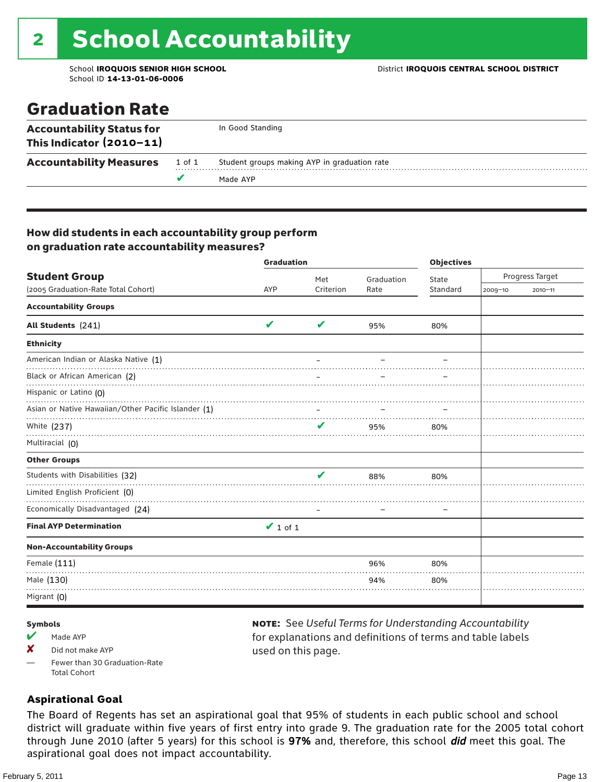# 2 School Accountability

School ID **14-13-01-06-0006**

### Graduation Rate

| This Indicator $(2010-11)$<br><b>Accountability Measures</b> | 1 of 1 | Student groups making AYP in graduation rate |
|--------------------------------------------------------------|--------|----------------------------------------------|
|                                                              |        | Made AYP                                     |

#### How did students in each accountability group perform on graduation rate accountability measures?

|                                                                                                                                                                                                                                                                                                                                                                                                                                                                                                                | <b>Graduation</b> |                            |            | <b>Objectives</b> |                 |             |  |
|----------------------------------------------------------------------------------------------------------------------------------------------------------------------------------------------------------------------------------------------------------------------------------------------------------------------------------------------------------------------------------------------------------------------------------------------------------------------------------------------------------------|-------------------|----------------------------|------------|-------------------|-----------------|-------------|--|
| <b>Student Group</b>                                                                                                                                                                                                                                                                                                                                                                                                                                                                                           |                   | Met                        | Graduation | State             | Progress Target |             |  |
| (2005 Graduation-Rate Total Cohort)<br><b>Accountability Groups</b><br>All Students (241)<br><b>Ethnicity</b><br>American Indian or Alaska Native (1)<br>Black or African American (2)<br>Hispanic or Latino (O)<br>Asian or Native Hawaiian/Other Pacific Islander (1)<br>White (237)<br>Multiracial (0)<br><b>Other Groups</b><br>Students with Disabilities (32)<br>Limited English Proficient (0)<br>Economically Disadvantaged (24)<br><b>Final AYP Determination</b><br><b>Non-Accountability Groups</b> | AYP               | Criterion                  | Rate       | Standard          | 2009-10         | $2010 - 11$ |  |
|                                                                                                                                                                                                                                                                                                                                                                                                                                                                                                                |                   |                            |            |                   |                 |             |  |
|                                                                                                                                                                                                                                                                                                                                                                                                                                                                                                                | V                 | $\boldsymbol{\mathcal{U}}$ | 95%        | 80%               |                 |             |  |
|                                                                                                                                                                                                                                                                                                                                                                                                                                                                                                                |                   |                            |            |                   |                 |             |  |
|                                                                                                                                                                                                                                                                                                                                                                                                                                                                                                                |                   |                            |            |                   |                 |             |  |
|                                                                                                                                                                                                                                                                                                                                                                                                                                                                                                                |                   |                            |            |                   |                 |             |  |
|                                                                                                                                                                                                                                                                                                                                                                                                                                                                                                                |                   |                            |            |                   |                 |             |  |
|                                                                                                                                                                                                                                                                                                                                                                                                                                                                                                                |                   |                            |            |                   |                 |             |  |
|                                                                                                                                                                                                                                                                                                                                                                                                                                                                                                                |                   |                            | 95%        | 80%               |                 |             |  |
|                                                                                                                                                                                                                                                                                                                                                                                                                                                                                                                |                   |                            |            |                   |                 |             |  |
|                                                                                                                                                                                                                                                                                                                                                                                                                                                                                                                |                   |                            |            |                   |                 |             |  |
|                                                                                                                                                                                                                                                                                                                                                                                                                                                                                                                |                   | ✔                          | 88%        | 80%               |                 |             |  |
|                                                                                                                                                                                                                                                                                                                                                                                                                                                                                                                |                   |                            |            |                   |                 |             |  |
|                                                                                                                                                                                                                                                                                                                                                                                                                                                                                                                |                   |                            |            |                   |                 |             |  |
|                                                                                                                                                                                                                                                                                                                                                                                                                                                                                                                | $\vee$ 1 of 1     |                            |            |                   |                 |             |  |
|                                                                                                                                                                                                                                                                                                                                                                                                                                                                                                                |                   |                            |            |                   |                 |             |  |
| Female (111)                                                                                                                                                                                                                                                                                                                                                                                                                                                                                                   |                   |                            | 96%        | 80%               |                 |             |  |
| Male (130)                                                                                                                                                                                                                                                                                                                                                                                                                                                                                                     |                   |                            | 94%        | 80%               |                 |             |  |
| Migrant (0)                                                                                                                                                                                                                                                                                                                                                                                                                                                                                                    |                   |                            |            |                   |                 |             |  |

#### Symbols

- $M$  Made AYP
- $\boldsymbol{X}$  Did not make AYP
- Fewer than 30 Graduation-Rate Total Cohort

#### note: See *Useful Terms for Understanding Accountability*  for explanations and definitions of terms and table labels used on this page.

#### **Aspirational Goal**

The Board of Regents has set an aspirational goal that 95% of students in each public school and school district will graduate within five years of first entry into grade 9. The graduation rate for the 2005 total cohort through June 2010 (after 5 years) for this school is 97% and, therefore, this school did meet this goal. The aspirational goal does not impact accountability.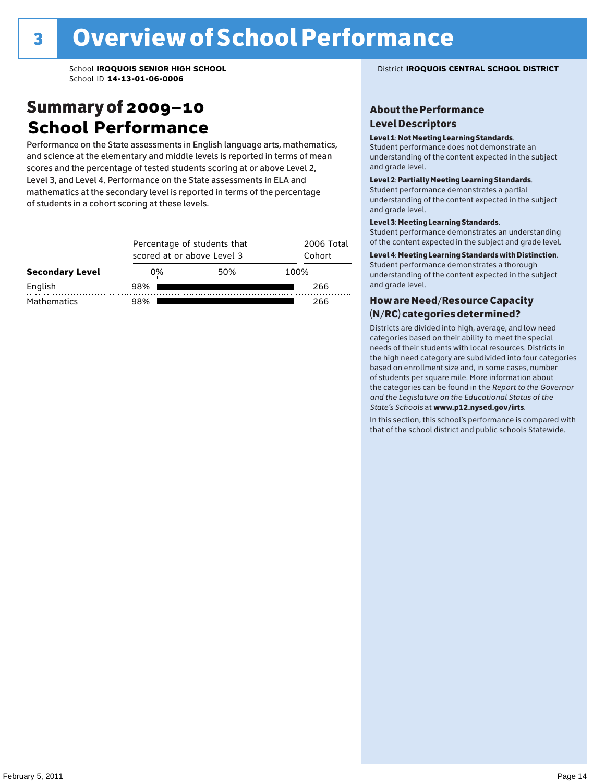### Summary of 2009–10 **School Performance**

Performance on the State assessments in English language arts, mathematics, and science at the elementary and middle levels is reported in terms of mean scores and the percentage of tested students scoring at or above Level 2, Level 3, and Level 4. Performance on the State assessments in ELA and mathematics at the secondary level is reported in terms of the percentage of students in a cohort scoring at these levels.

|                        |     | Percentage of students that<br>scored at or above Level 3 |      |     |  |  |  |
|------------------------|-----|-----------------------------------------------------------|------|-----|--|--|--|
| <b>Secondary Level</b> | 0%  | 50%                                                       | 100% |     |  |  |  |
| English                | 98% |                                                           |      | 266 |  |  |  |
| Mathematics            | 98% |                                                           |      | 266 |  |  |  |

#### School **IROQUOIS SENIOR HIGH SCHOOL** District **IROQUOIS CENTRAL SCHOOL DISTRICT**

#### About the Performance Level Descriptors

#### Level 1: Not Meeting Learning Standards.

Student performance does not demonstrate an understanding of the content expected in the subject and grade level.

#### Level 2: Partially Meeting Learning Standards.

Student performance demonstrates a partial understanding of the content expected in the subject and grade level.

#### Level 3: Meeting Learning Standards.

Student performance demonstrates an understanding of the content expected in the subject and grade level.

#### Level 4: Meeting Learning Standards with Distinction.

Student performance demonstrates a thorough understanding of the content expected in the subject and grade level.

#### How are Need/Resource Capacity (N/RC) categories determined?

Districts are divided into high, average, and low need categories based on their ability to meet the special needs of their students with local resources. Districts in the high need category are subdivided into four categories based on enrollment size and, in some cases, number of students per square mile. More information about the categories can be found in the *Report to the Governor and the Legislature on the Educational Status of the*  State's Schools at www.p12.nysed.gov/irts.

In this section, this school's performance is compared with<br>that of the school district and multigarhaals Statemide In this section, this school's performance is compared that of the school district and public schools Statewide.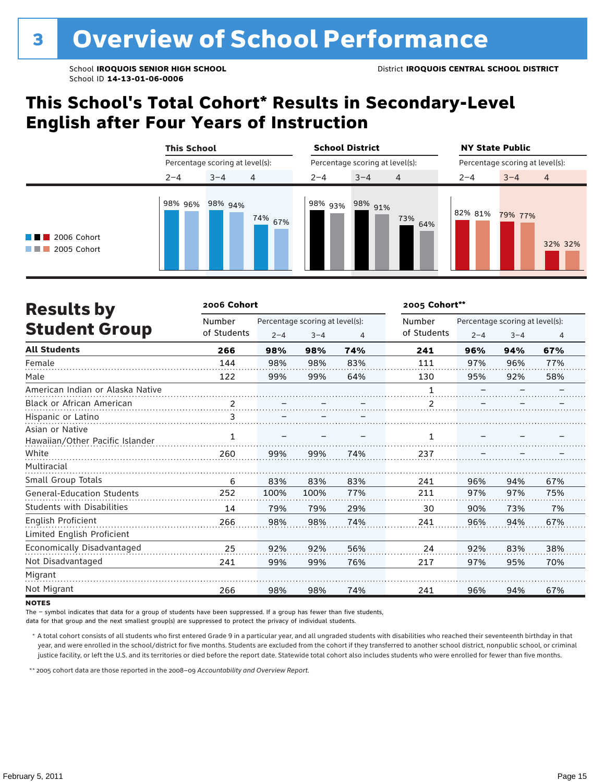### **This School's Total Cohort\* Results in Secondary-Level English after Four Years of Instruction**

|                                                 | <b>This School</b><br>Percentage scoring at level(s): |         |         | <b>School District</b> |                                 |                | <b>NY State Public</b><br>Percentage scoring at level(s): |         |         |  |
|-------------------------------------------------|-------------------------------------------------------|---------|---------|------------------------|---------------------------------|----------------|-----------------------------------------------------------|---------|---------|--|
|                                                 |                                                       |         |         |                        | Percentage scoring at level(s): |                |                                                           |         |         |  |
|                                                 | $2 - 4$                                               | $3 - 4$ | 4       | $2 - 4$                | $3 - 4$                         | $\overline{4}$ | $2 - 4$                                                   | $3 - 4$ | 4       |  |
| 2006 Cohort<br><b>STATISTICS</b><br>2005 Cohort | 98% 96% 98% 94%                                       |         | 74% 67% | 98% 93%                | $.98\%$ 91%                     | 73%<br>64%     | 82% 81%                                                   | 79% 77% | 32% 32% |  |

| <b>Results by</b>                 | 2006 Cohort |         |                                 |     | 2005 Cohort** |                                 |         |                |  |
|-----------------------------------|-------------|---------|---------------------------------|-----|---------------|---------------------------------|---------|----------------|--|
|                                   | Number      |         | Percentage scoring at level(s): |     | Number        | Percentage scoring at level(s): |         |                |  |
| <b>Student Group</b>              | of Students | $2 - 4$ | $3 - 4$                         | 4   | of Students   | $2 - 4$                         | $3 - 4$ | $\overline{4}$ |  |
| <b>All Students</b>               | 266         | 98%     | 98%                             | 74% | 241           | 96%                             | 94%     | 67%            |  |
| Female                            | 144         | 98%     | 98%                             | 83% | 111           | 97%                             | 96%     | 77%            |  |
| Male                              | 122         | 99%     | 99%                             | 64% | 130           | 95%                             | 92%     | 58%            |  |
| American Indian or Alaska Native  |             |         |                                 |     | 1             |                                 |         |                |  |
| <b>Black or African American</b>  | 2           |         |                                 |     | 2             |                                 |         |                |  |
| Hispanic or Latino                | 3           |         |                                 |     |               |                                 |         |                |  |
| Asian or Native                   | 1           |         |                                 |     | 1             |                                 |         |                |  |
| Hawaiian/Other Pacific Islander   |             |         |                                 |     |               |                                 |         |                |  |
| White                             | 260         | 99%     | 99%                             | 74% | 237           |                                 |         |                |  |
| Multiracial                       |             |         |                                 |     |               |                                 |         |                |  |
| Small Group Totals                | 6           | 83%     | 83%                             | 83% | 241           | 96%                             | 94%     | 67%            |  |
| <b>General-Education Students</b> | 252         | 100%    | 100%                            | 77% | 211           | 97%                             | 97%     | 75%            |  |
| <b>Students with Disabilities</b> | 14          | 79%     | 79%                             | 29% | 30            | 90%                             | 73%     | 7%             |  |
| English Proficient                | 266         | 98%     | 98%                             | 74% | 241           | 96%                             | 94%     | 67%            |  |
| Limited English Proficient        |             |         |                                 |     |               |                                 |         |                |  |
| Economically Disadvantaged        | 25          | 92%     | 92%                             | 56% | 24            | 92%                             | 83%     | 38%            |  |
| Not Disadvantaged                 | 241         | 99%     | 99%                             | 76% | 217           | 97%                             | 95%     | 70%            |  |
| Migrant                           |             |         |                                 |     |               |                                 |         |                |  |
| Not Migrant                       | 266         | 98%     | 98%                             | 74% | 241           | 96%                             | 94%     | 67%            |  |

**NOTES** 

The – symbol indicates that data for a group of students have been suppressed. If a group has fewer than five students,

data for that group and the next smallest group(s) are suppressed to protect the privacy of individual students.

 \* A total cohort consists of all students who first entered Grade 9 in a particular year, and all ungraded students with disabilities who reached their seventeenth birthday in that year, and were enrolled in the school/district for five months. Students are excluded from the cohort if they transferred to another school district, nonpublic school, or criminal justice facility, or left the U.S. and its territories or died before the report date. Statewide total cohort also includes students who were enrolled for fewer than five months.

\*\* 2005 cohort data are those reported in the 2008–09 *Accountability and Overview Report*.